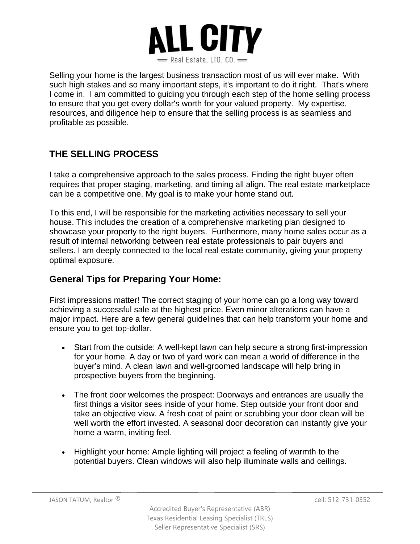

Selling your home is the largest business transaction most of us will ever make. With such high stakes and so many important steps, it's important to do it right. That's where I come in. I am committed to guiding you through each step of the home selling process to ensure that you get every dollar's worth for your valued property. My expertise, resources, and diligence help to ensure that the selling process is as seamless and profitable as possible.

## **THE SELLING PROCESS**

I take a comprehensive approach to the sales process. Finding the right buyer often requires that proper staging, marketing, and timing all align. The real estate marketplace can be a competitive one. My goal is to make your home stand out.

To this end, I will be responsible for the marketing activities necessary to sell your house. This includes the creation of a comprehensive marketing plan designed to showcase your property to the right buyers. Furthermore, many home sales occur as a result of internal networking between real estate professionals to pair buyers and sellers. I am deeply connected to the local real estate community, giving your property optimal exposure.

## **General Tips for Preparing Your Home:**

First impressions matter! The correct staging of your home can go a long way toward achieving a successful sale at the highest price. Even minor alterations can have a major impact. Here are a few general guidelines that can help transform your home and ensure you to get top-dollar.

- Start from the outside: A well-kept lawn can help secure a strong first-impression for your home. A day or two of yard work can mean a world of difference in the buyer's mind. A clean lawn and well-groomed landscape will help bring in prospective buyers from the beginning.
- The front door welcomes the prospect: Doorways and entrances are usually the first things a visitor sees inside of your home. Step outside your front door and take an objective view. A fresh coat of paint or scrubbing your door clean will be well worth the effort invested. A seasonal door decoration can instantly give your home a warm, inviting feel.
- Highlight your home: Ample lighting will project a feeling of warmth to the potential buyers. Clean windows will also help illuminate walls and ceilings.